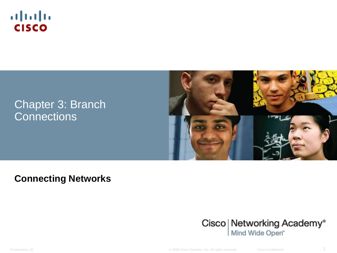

#### Chapter 3: Branch **Connections**



#### **Connecting Networks**



Presentation\_ID © 2008 Cisco Systems, Inc. All rights reserved. Cisco Confidential 1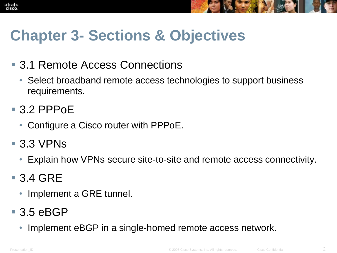



# **Chapter 3- Sections & Objectives**

- 3.1 Remote Access Connections
	- Select broadband remote access technologies to support business requirements.
- 3.2 PPPoE
	- Configure a Cisco router with PPPoE.
- $\blacksquare$  3.3 VPNs
	- Explain how VPNs secure site-to-site and remote access connectivity.
- 3.4 GRE
	- Implement a GRE tunnel.

## $-3.5$  eBGP

• Implement eBGP in a single-homed remote access network.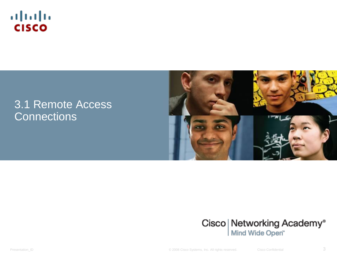

#### 3.1 Remote Access **Connections**





Presentation\_ID **Example 2008** Cisco Systems, Inc. All rights reserved. Cisco Confidential Cisco Confidential 3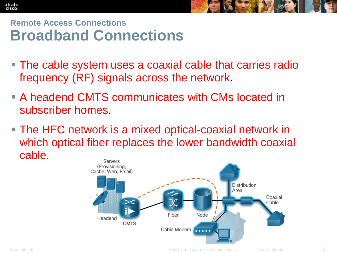



#### **Remote Access Connections Broadband Connections**

- The cable system uses a coaxial cable that carries radio frequency (RF) signals across the network.
- A headend CMTS communicates with CMs located in subscriber homes.
- The HFC network is a mixed optical-coaxial network in which optical fiber replaces the lower bandwidth coaxial cable.Servers

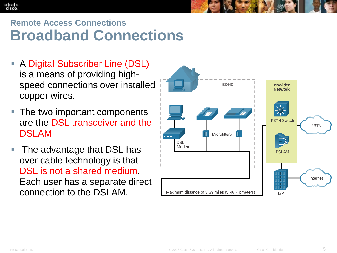#### **Remote Access Connections Broadband Connections**

- A Digital Subscriber Line (DSL) is a means of providing highspeed connections over installed copper wires.
- The two important components are the DSL transceiver and the DSLAM
- The advantage that DSL has over cable technology is that DSL is not a shared medium. Each user has a separate direct connection to the DSLAM.

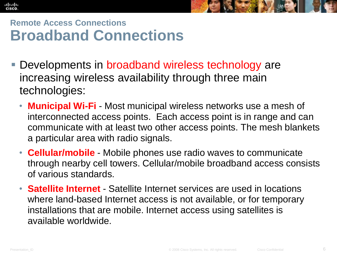



#### **Remote Access Connections Broadband Connections**

- Developments in broadband wireless technology are increasing wireless availability through three main technologies:
	- **Municipal Wi-Fi**  Most municipal wireless networks use a mesh of interconnected access points. Each access point is in range and can communicate with at least two other access points. The mesh blankets a particular area with radio signals.
	- **Cellular/mobile** Mobile phones use radio waves to communicate through nearby cell towers. Cellular/mobile broadband access consists of various standards.
	- **Satellite Internet**  Satellite Internet services are used in locations where land-based Internet access is not available, or for temporary installations that are mobile. Internet access using satellites is available worldwide.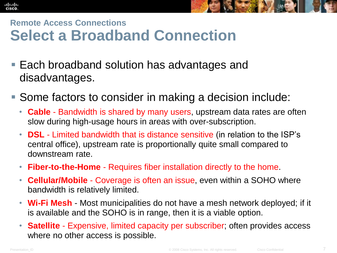



#### **Remote Access Connections Select a Broadband Connection**

- Each broadband solution has advantages and disadvantages.
- Some factors to consider in making a decision include:
	- **Cable** Bandwidth is shared by many users, upstream data rates are often slow during high-usage hours in areas with over-subscription.
	- **DSL** Limited bandwidth that is distance sensitive (in relation to the ISP's central office), upstream rate is proportionally quite small compared to downstream rate.
	- **Fiber-to-the-Home** Requires fiber installation directly to the home.
	- **Cellular/Mobile** Coverage is often an issue, even within a SOHO where bandwidth is relatively limited.
	- **Wi-Fi Mesh** Most municipalities do not have a mesh network deployed; if it is available and the SOHO is in range, then it is a viable option.
	- **Satellite** Expensive, limited capacity per subscriber; often provides access where no other access is possible.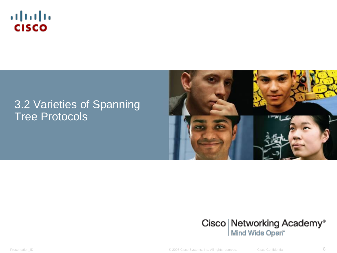

#### 3.2 Varieties of Spanning Tree Protocols





Presentation\_ID **Example 2008** Cisco Systems, Inc. All rights reserved. Cisco Confidential **8**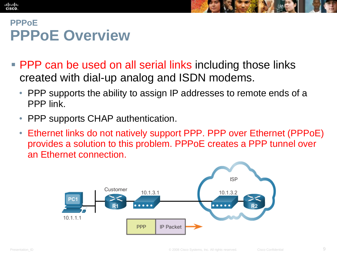#### **PPPoE PPPoE Overview**

- **PPP** can be used on all serial links including those links created with dial-up analog and ISDN modems.
	- PPP supports the ability to assign IP addresses to remote ends of a PPP link.
	- PPP supports CHAP authentication.
	- Ethernet links do not natively support PPP. PPP over Ethernet (PPPoE) provides a solution to this problem. PPPoE creates a PPP tunnel over an Ethernet connection.

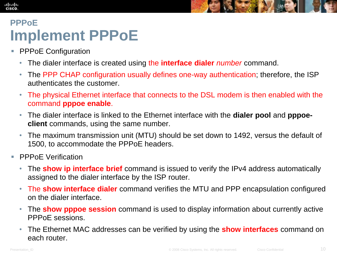

#### **PPPoE Implement PPPoE**

- **PPPoE Configuration** 
	- The dialer interface is created using the **interface dialer** *number* command.
	- The PPP CHAP configuration usually defines one-way authentication; therefore, the ISP authenticates the customer.
	- The physical Ethernet interface that connects to the DSL modem is then enabled with the command **pppoe enable**.
	- The dialer interface is linked to the Ethernet interface with the **dialer pool** and **pppoeclient** commands, using the same number.
	- The maximum transmission unit (MTU) should be set down to 1492, versus the default of 1500, to accommodate the PPPoE headers.
- **PPPOE Verification** 
	- The **show ip interface brief** command is issued to verify the IPv4 address automatically assigned to the dialer interface by the ISP router.
	- The **show interface dialer** command verifies the MTU and PPP encapsulation configured on the dialer interface.
	- The **show pppoe session** command is used to display information about currently active PPPoE sessions.
	- The Ethernet MAC addresses can be verified by using the **show interfaces** command on each router.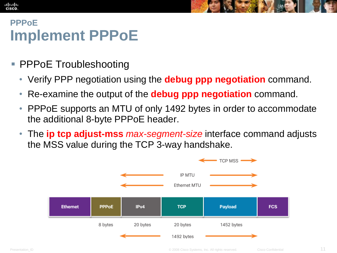#### **CISCO PPPoE Implement PPPoE**

ahah

- PPPoE Troubleshooting
	- Verify PPP negotiation using the **debug ppp negotiation** command.
	- Re-examine the output of the **debug ppp negotiation** command.
	- PPPoE supports an MTU of only 1492 bytes in order to accommodate the additional 8-byte PPPoE header.
	- The **ip tcp adjust-mss** *max-segment-size* interface command adjusts the MSS value during the TCP 3-way handshake.

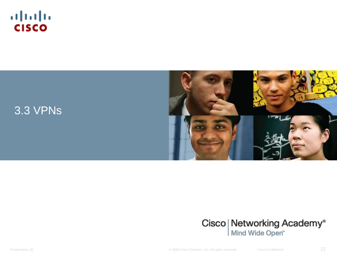







Presentation\_ID **Example 2008** Cisco Systems, Inc. All rights reserved. Cisco Confidential Cisco Confidential 12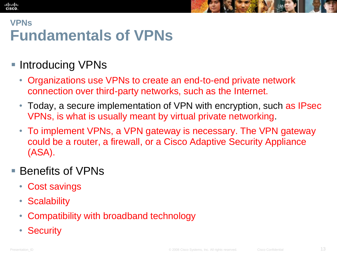# **VPNs Fundamentals of VPNs**

## **Introducing VPNs**

- Organizations use VPNs to create an end-to-end private network connection over third-party networks, such as the Internet.
- Today, a secure implementation of VPN with encryption, such as IPsec VPNs, is what is usually meant by virtual private networking.
- To implement VPNs, a VPN gateway is necessary. The VPN gateway could be a router, a firewall, or a Cisco Adaptive Security Appliance (ASA).

#### ■ Benefits of VPNs

- Cost savings
- Scalability
- Compatibility with broadband technology
- Security

alba ta **CISCO**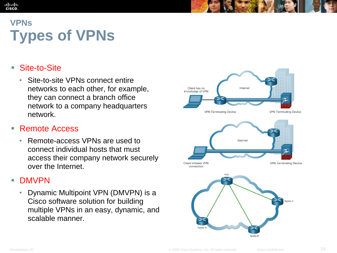#### ahah **CISCO VPNs**

# **Types of VPNs**

#### ■ Site-to-Site

• Site-to-site VPNs connect entire networks to each other, for example, they can connect a branch office network to a company headquarters network.

#### ■ Remote Access

• Remote-access VPNs are used to connect individual hosts that must access their company network securely over the Internet.

#### DMVPN

• Dynamic Multipoint VPN (DMVPN) is a Cisco software solution for building multiple VPNs in an easy, dynamic, and scalable manner.

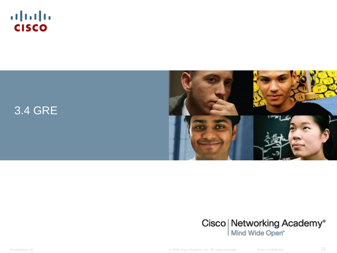







Presentation\_ID **Example 2008** Cisco Systems, Inc. All rights reserved. Cisco Confidential Cisco Confidential 15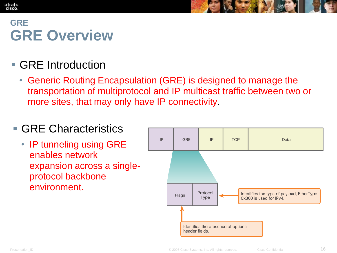### **GRE GRE Overview**

ahah **CISCO** 

#### ■ GRE Introduction

• Generic Routing Encapsulation (GRE) is designed to manage the transportation of multiprotocol and IP multicast traffic between two or more sites, that may only have IP connectivity.

#### ■ GRE Characteristics

• IP tunneling using GRE enables network expansion across a singleprotocol backbone environment.

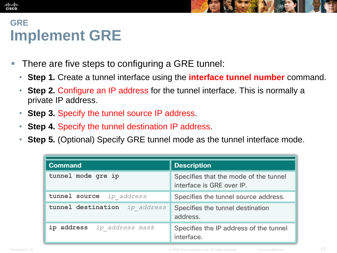### **GRE Implement GRE**

- There are five steps to configuring a GRE tunnel:
	- **Step 1.** Create a tunnel interface using the **interface tunnel number** command.
	- **Step 2.** Configure an IP address for the tunnel interface. This is normally a private IP address.
	- **Step 3.** Specify the tunnel source IP address.
	- **Step 4.** Specify the tunnel destination IP address.
	- **Step 5.** (Optional) Specify GRE tunnel mode as the tunnel interface mode.

| <b>Command</b>                   | <b>Description</b>                                                 |
|----------------------------------|--------------------------------------------------------------------|
| tunnel mode gre ip               | Specifies that the mode of the tunnel<br>interface is GRE over IP. |
| tunnel source<br>ip address      | Specifies the tunnel source address.                               |
| tunnel destination<br>ip address | Specifies the tunnel destination<br>address.                       |
| ip address ip address mask       | Specifies the IP address of the tunnel<br>interface.               |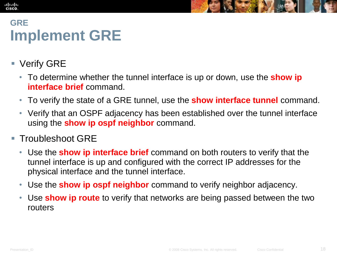## **GRE Implement GRE**

**Verify GRE** 

- To determine whether the tunnel interface is up or down, use the **show ip interface brief** command.
- To verify the state of a GRE tunnel, use the **show interface tunnel** command.
- Verify that an OSPF adjacency has been established over the tunnel interface using the **show ip ospf neighbor** command.
- Troubleshoot GRE
	- Use the **show ip interface brief** command on both routers to verify that the tunnel interface is up and configured with the correct IP addresses for the physical interface and the tunnel interface.
	- Use the **show ip ospf neighbor** command to verify neighbor adjacency.
	- Use **show ip route** to verify that networks are being passed between the two routers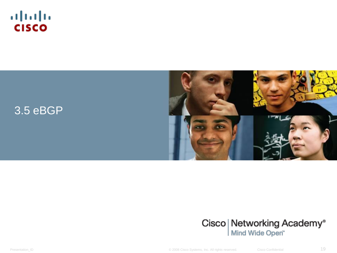







Presentation\_ID **Example 2008** Cisco Systems, Inc. All rights reserved. Cisco Confidential Cisco Confidential 19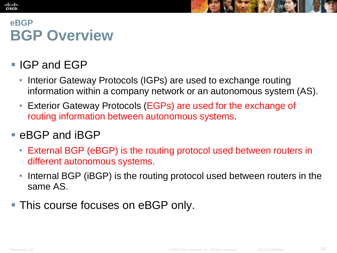# **eBGP BGP Overview**

**IGP and EGP** 

alba ta **CISCO** 

- Interior Gateway Protocols (IGPs) are used to exchange routing information within a company network or an autonomous system (AS).
- Exterior Gateway Protocols (EGPs) are used for the exchange of routing information between autonomous systems.

#### ■ eBGP and iBGP

- External BGP (eBGP) is the routing protocol used between routers in different autonomous systems.
- Internal BGP (iBGP) is the routing protocol used between routers in the same AS.
- This course focuses on eBGP only.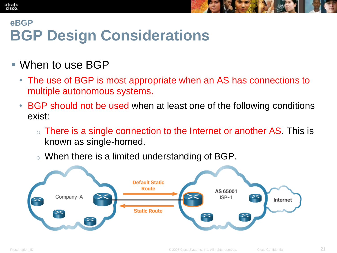#### **eBGP BGP Design Considerations**

#### When to use BGP

- The use of BGP is most appropriate when an AS has connections to multiple autonomous systems.
- BGP should not be used when at least one of the following conditions exist:
	- $\circ$  There is a single connection to the Internet or another AS. This is known as single-homed.
	- o When there is a limited understanding of BGP.

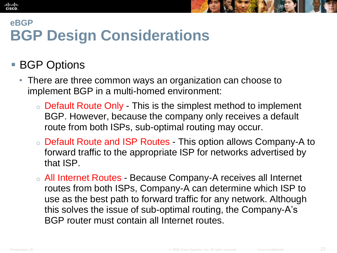#### **eBGP BGP Design Considerations**

#### **BGP Options**

- There are three common ways an organization can choose to implement BGP in a multi-homed environment:
	- o Default Route Only This is the simplest method to implement BGP. However, because the company only receives a default route from both ISPs, sub-optimal routing may occur.
	- o Default Route and ISP Routes This option allows Company-A to forward traffic to the appropriate ISP for networks advertised by that ISP.
	- o All Internet Routes Because Company-A receives all Internet routes from both ISPs, Company-A can determine which ISP to use as the best path to forward traffic for any network. Although this solves the issue of sub-optimal routing, the Company-A's BGP router must contain all Internet routes.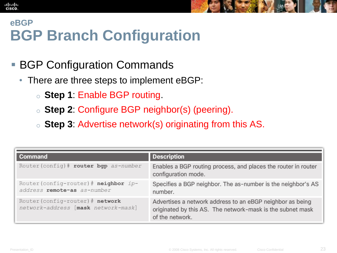#### **eBGP BGP Branch Configuration**

- BGP Configuration Commands
	- There are three steps to implement eBGP:
		- o **Step 1**: Enable BGP routing.
		- o **Step 2**: Configure BGP neighbor(s) (peering).
		- o **Step 3**: Advertise network(s) originating from this AS.

| Command                                                                 | <b>Description</b>                                                                                                                         |
|-------------------------------------------------------------------------|--------------------------------------------------------------------------------------------------------------------------------------------|
| Router (config) # router bgp as-number                                  | Enables a BGP routing process, and places the router in router<br>configuration mode.                                                      |
| Router (config-router) $#$ neighbor ip-<br>address remote-as as-number  | Specifies a BGP neighbor. The as-number is the neighbor's AS<br>number.                                                                    |
| Router (config-router) # network<br>network-address [mask network-mask] | Advertises a network address to an eBGP neighbor as being<br>originated by this AS. The network-mask is the subnet mask<br>of the network. |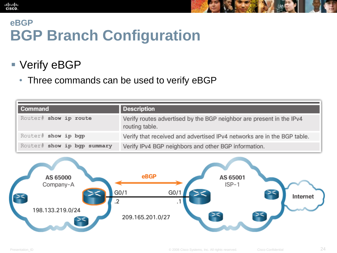### **eBGP BGP Branch Configuration**

## ■ Verify eBGP

aludo<br>cisco.

• Three commands can be used to verify eBGP

| Command                     | <b>Description</b>                                                                     |
|-----------------------------|----------------------------------------------------------------------------------------|
| Router# show ip route       | Verify routes advertised by the BGP neighbor are present in the IPv4<br>routing table. |
| Router# show ip bgp         | Verify that received and advertised IPv4 networks are in the BGP table.                |
| Router# show ip bgp summary | Verify IPv4 BGP neighbors and other BGP information.                                   |

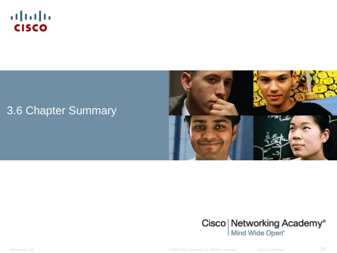

#### 3.6 Chapter Summary





Presentation\_ID **Example 2008** Cisco Systems, Inc. All rights reserved. Cisco Confidential **25**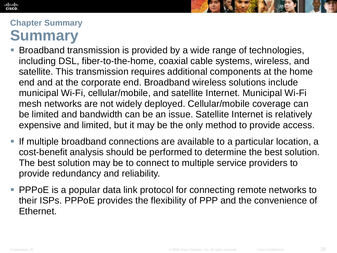#### ahah **CISCO**



#### **Chapter Summary Summary**

- Broadband transmission is provided by a wide range of technologies, including DSL, fiber-to-the-home, coaxial cable systems, wireless, and satellite. This transmission requires additional components at the home end and at the corporate end. Broadband wireless solutions include municipal Wi-Fi, cellular/mobile, and satellite Internet. Municipal Wi-Fi mesh networks are not widely deployed. Cellular/mobile coverage can be limited and bandwidth can be an issue. Satellite Internet is relatively expensive and limited, but it may be the only method to provide access.
- If multiple broadband connections are available to a particular location, a cost-benefit analysis should be performed to determine the best solution. The best solution may be to connect to multiple service providers to provide redundancy and reliability.
- **PPPOE** is a popular data link protocol for connecting remote networks to their ISPs. PPPoE provides the flexibility of PPP and the convenience of Ethernet.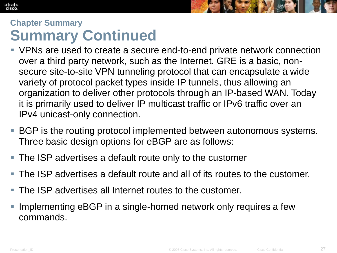

#### **Chapter Summary Summary Continued**

- VPNs are used to create a secure end-to-end private network connection over a third party network, such as the Internet. GRE is a basic, nonsecure site-to-site VPN tunneling protocol that can encapsulate a wide variety of protocol packet types inside IP tunnels, thus allowing an organization to deliver other protocols through an IP-based WAN. Today it is primarily used to deliver IP multicast traffic or IPv6 traffic over an IPv4 unicast-only connection.
- BGP is the routing protocol implemented between autonomous systems. Three basic design options for eBGP are as follows:
- The ISP advertises a default route only to the customer
- The ISP advertises a default route and all of its routes to the customer.
- The ISP advertises all Internet routes to the customer.
- Implementing eBGP in a single-homed network only requires a few commands.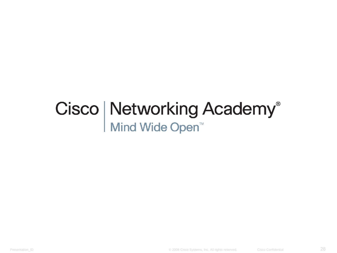# Cisco | Networking Academy<sup>®</sup><br>Mind Wide Open<sup>™</sup>